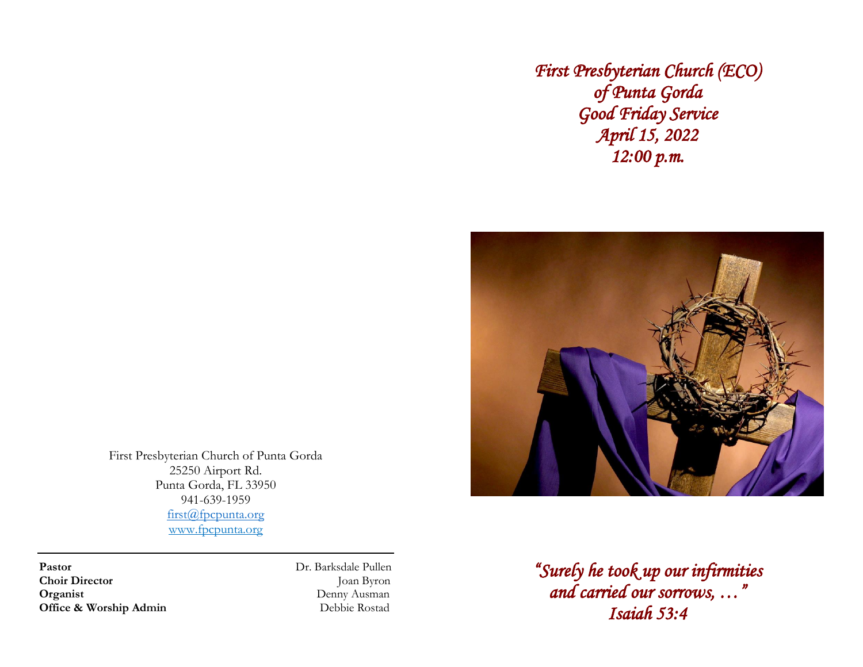First Presbyterian Church (ECO) of Punta Gorda Good Friday Service April 15, 2022  $12:00 p.m.$ 



First Presbyterian Church of Punta Gorda 25250 Airport Rd. Punta Gorda, FL 33950 941-639-1959 first@fpcpunta.org www.fpcpunta.org

Pastor Director Director Director Director Director Director Director Director Director Director Director Director Director Director Director Director Director Director Director Director Director Director Director Director **Choir Director Organist** Denny Ausman<br> **Office & Worship Admin** 2007 Debbie Rostad **Office & Worship Admin** 

"Surely he took up our infirmities and carried our sorrows, …" Isaiah 53:4